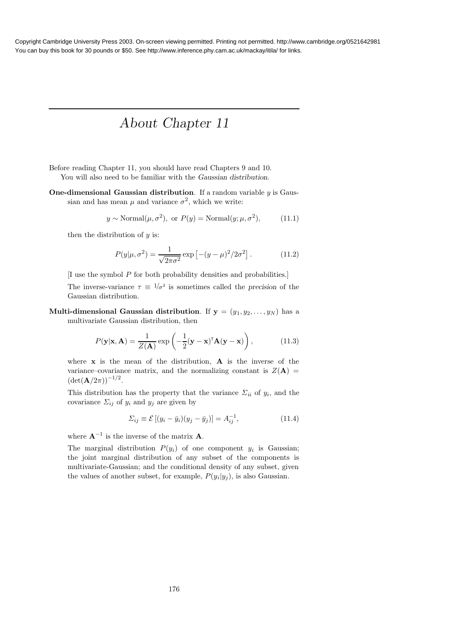# About Chapter 11

Before reading Chapter 11, you should have read Chapters 9 and 10. You will also need to be familiar with the Gaussian distribution.

**One-dimensional Gaussian distribution**. If a random variable  $y$  is Gaussian and has mean  $\mu$  and variance  $\sigma^2$ , which we write:

$$
y \sim \text{Normal}(\mu, \sigma^2), \text{ or } P(y) = \text{Normal}(y; \mu, \sigma^2),
$$
 (11.1)

then the distribution of  $y$  is:

$$
P(y|\mu, \sigma^2) = \frac{1}{\sqrt{2\pi\sigma^2}} \exp\left[-(y-\mu)^2/2\sigma^2\right].
$$
 (11.2)

[I use the symbol P for both probability densities and probabilities.]

The inverse-variance  $\tau \equiv 1/\sigma^2$  is sometimes called the precision of the Gaussian distribution.

Multi-dimensional Gaussian distribution. If  $y = (y_1, y_2, \dots, y_N)$  has a multivariate Gaussian distribution, then

$$
P(\mathbf{y}|\mathbf{x}, \mathbf{A}) = \frac{1}{Z(\mathbf{A})} \exp\left(-\frac{1}{2}(\mathbf{y} - \mathbf{x})^{\mathsf{T}} \mathbf{A}(\mathbf{y} - \mathbf{x})\right),\tag{11.3}
$$

where  $x$  is the mean of the distribution. A is the inverse of the variance–covariance matrix, and the normalizing constant is  $Z(\mathbf{A}) =$  $(\det({\bf A}/2\pi))^{-1/2}$ .

This distribution has the property that the variance  $\Sigma_{ii}$  of  $y_i$ , and the covariance  $\Sigma_{ij}$  of  $y_i$  and  $y_j$  are given by

$$
\Sigma_{ij} \equiv \mathcal{E}\left[ (y_i - \bar{y}_i)(y_j - \bar{y}_j) \right] = A_{ij}^{-1},\tag{11.4}
$$

where  $\mathbf{A}^{-1}$  is the inverse of the matrix  $\mathbf{A}$ .

The marginal distribution  $P(y_i)$  of one component  $y_i$  is Gaussian; the joint marginal distribution of any subset of the components is multivariate-Gaussian; and the conditional density of any subset, given the values of another subset, for example,  $P(y_i|y_j)$ , is also Gaussian.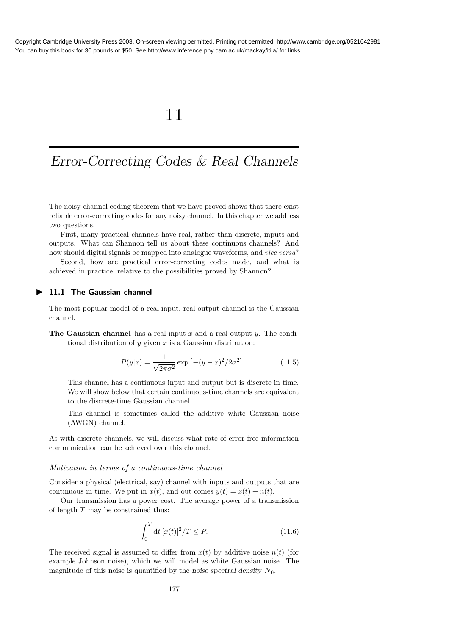# 11

# Error-Correcting Codes & Real Channels

The noisy-channel coding theorem that we have proved shows that there exist reliable error-correcting codes for any noisy channel. In this chapter we address two questions.

First, many practical channels have real, rather than discrete, inputs and outputs. What can Shannon tell us about these continuous channels? And how should digital signals be mapped into analogue waveforms, and *vice versa*?

Second, how are practical error-correcting codes made, and what is achieved in practice, relative to the possibilities proved by Shannon?

# ▶ 11.1 The Gaussian channel

The most popular model of a real-input, real-output channel is the Gaussian channel.

The Gaussian channel has a real input  $x$  and a real output  $y$ . The conditional distribution of  $y$  given  $x$  is a Gaussian distribution:

$$
P(y|x) = \frac{1}{\sqrt{2\pi\sigma^2}} \exp\left[-(y-x)^2/2\sigma^2\right].
$$
 (11.5)

This channel has a continuous input and output but is discrete in time. We will show below that certain continuous-time channels are equivalent to the discrete-time Gaussian channel.

This channel is sometimes called the additive white Gaussian noise (AWGN) channel.

As with discrete channels, we will discuss what rate of error-free information communication can be achieved over this channel.

# Motivation in terms of a continuous-time channel

Consider a physical (electrical, say) channel with inputs and outputs that are continuous in time. We put in  $x(t)$ , and out comes  $y(t) = x(t) + n(t)$ .

Our transmission has a power cost. The average power of a transmission of length  $T$  may be constrained thus:

$$
\int_{0}^{T} dt \, [x(t)]^{2}/T \le P.
$$
\n(11.6)

The received signal is assumed to differ from  $x(t)$  by additive noise  $n(t)$  (for example Johnson noise), which we will model as white Gaussian noise. The magnitude of this noise is quantified by the noise spectral density  $N_0$ .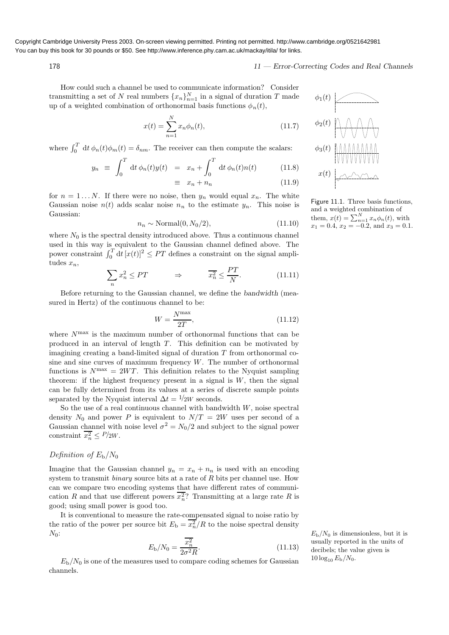178 11 — Error-Correcting Codes and Real Channels

How could such a channel be used to communicate information? Consider transmitting a set of N real numbers  $\{x_n\}_{n=1}^N$  in a signal of duration T made up of a weighted combination of orthonormal basis functions  $\phi_n(t)$ ,

$$
x(t) = \sum_{n=1}^{N} x_n \phi_n(t),
$$
\n(11.7)

where  $\int_0^T dt \phi_n(t) \phi_m(t) = \delta_{nm}$ . The receiver can then compute the scalars:

$$
y_n \equiv \int_0^T dt \, \phi_n(t) y(t) = x_n + \int_0^T dt \, \phi_n(t) n(t) \tag{11.8}
$$

$$
\equiv x_n + n_n \tag{11.9}
$$

for  $n = 1...N$ . If there were no noise, then  $y_n$  would equal  $x_n$ . The white Gaussian noise  $n(t)$  adds scalar noise  $n_n$  to the estimate  $y_n$ . This noise is Gaussian:

$$
n_n \sim \text{Normal}(0, N_0/2),\tag{11.10}
$$

where  $N_0$  is the spectral density introduced above. Thus a continuous channel used in this way is equivalent to the Gaussian channel defined above. The power constraint  $\int_0^T dt [x(t)]^2 \le PT$  defines a constraint on the signal amplitudes  $x_n$ .

$$
\sum_{n} x_n^2 \le PT \qquad \Rightarrow \qquad \overline{x_n^2} \le \frac{PT}{N}.\tag{11.11}
$$

Before returning to the Gaussian channel, we define the bandwidth (measured in Hertz) of the continuous channel to be:

$$
W = \frac{N^{\text{max}}}{2T},\tag{11.12}
$$

where  $N^{\max}$  is the maximum number of orthonormal functions that can be produced in an interval of length T. This definition can be motivated by imagining creating a band-limited signal of duration  $T$  from orthonormal cosine and sine curves of maximum frequency  $W$ . The number of orthonormal functions is  $N^{\max} = 2WT$ . This definition relates to the Nyquist sampling theorem: if the highest frequency present in a signal is  $W$ , then the signal can be fully determined from its values at a series of discrete sample points separated by the Nyquist interval  $\Delta t = \frac{1}{2}W$  seconds.

So the use of a real continuous channel with bandwidth  $W$ , noise spectral density  $N_0$  and power P is equivalent to  $N/T = 2W$  uses per second of a Gaussian channel with noise level  $\sigma^2 = N_0/2$  and subject to the signal power constraint  $\overline{x_n^2} \le P/2W$ .

# Definition of  $E_{\rm b}/N_0$

Imagine that the Gaussian channel  $y_n = x_n + n_n$  is used with an encoding system to transmit *binary* source bits at a rate of  $R$  bits per channel use. How can we compare two encoding systems that have different rates of communication R and that use different powers  $x_n^2$ ? Transmitting at a large rate R is good; using small power is good too.

It is conventional to measure the rate-compensated signal to noise ratio by the ratio of the power per source bit  $E_{\rm b} = x_n^2/R$  to the noise spectral density  $N_0$ :  $E<sub>b</sub>/N_0$  is dimensionless, but it is

$$
E_{\rm b}/N_0 = \frac{\overline{x_n^2}}{2\sigma^2 R}.
$$
\n(11.13)

 $E_{\rm b}/N_0$  is one of the measures used to compare coding schemes for Gaussian channels.

usually reported in the units of decibels; the value given is  $10 \log_{10} E_{\rm b}/N_0$ .



Figure 11.1. Three basis functions, and a weighted combination of them,  $x(t) = \sum_{n=1}^{N} x_n \phi_n(t)$ , with  $x_1 = 0.4, x_2 = -0.2, \text{ and } x_3 = 0.1.$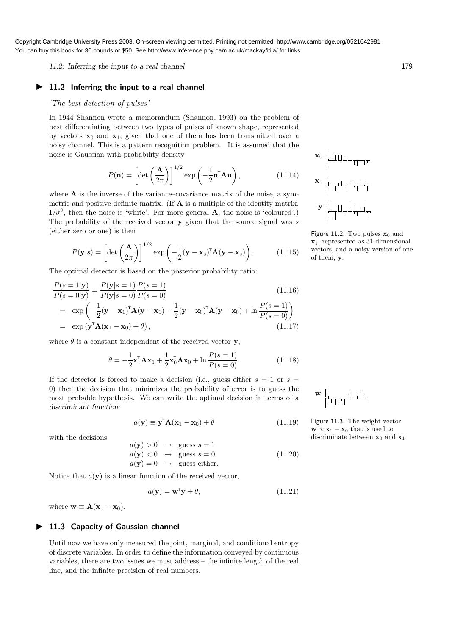11.2: Inferring the input to a real channel 179

# $\blacktriangleright$  11.2 Inferring the input to a real channel

### 'The best detection of pulses'

In 1944 Shannon wrote a memorandum (Shannon, 1993) on the problem of best differentiating between two types of pulses of known shape, represented by vectors  $x_0$  and  $x_1$ , given that one of them has been transmitted over a noisy channel. This is a pattern recognition problem. It is assumed that the noise is Gaussian with probability density

$$
P(\mathbf{n}) = \left[ \det \left( \frac{\mathbf{A}}{2\pi} \right) \right]^{1/2} \exp \left( -\frac{1}{2} \mathbf{n}^{\mathsf{T}} \mathbf{A} \mathbf{n} \right), \tag{11.14}
$$

where  $A$  is the inverse of the variance–covariance matrix of the noise, a symmetric and positive-definite matrix. (If  $A$  is a multiple of the identity matrix,  $I/\sigma^2$ , then the noise is 'white'. For more general **A**, the noise is 'coloured'.) The probability of the received vector  $y$  given that the source signal was s (either zero or one) is then

$$
P(\mathbf{y}|s) = \left[\det\left(\frac{\mathbf{A}}{2\pi}\right)\right]^{1/2} \exp\left(-\frac{1}{2}(\mathbf{y}-\mathbf{x}_s)^{\mathsf{T}}\mathbf{A}(\mathbf{y}-\mathbf{x}_s)\right). \tag{11.15}
$$

The optimal detector is based on the posterior probability ratio:

$$
\frac{P(s=1|\mathbf{y})}{P(s=0|\mathbf{y})} = \frac{P(\mathbf{y}|s=1)}{P(\mathbf{y}|s=0)} \frac{P(s=1)}{P(s=0)} \tag{11.16}
$$
\n
$$
= \exp\left(-\frac{1}{2}(\mathbf{y}-\mathbf{x}_1)^T \mathbf{A}(\mathbf{y}-\mathbf{x}_1) + \frac{1}{2}(\mathbf{y}-\mathbf{x}_0)^T \mathbf{A}(\mathbf{y}-\mathbf{x}_0) + \ln \frac{P(s=1)}{P(s=0)}\right)
$$
\n
$$
= \exp(\mathbf{y}^T \mathbf{A}(\mathbf{x}_1 - \mathbf{x}_0) + \theta), \tag{11.17}
$$

where  $\theta$  is a constant independent of the received vector y,

$$
\theta = -\frac{1}{2}\mathbf{x}_1^{\mathsf{T}}\mathbf{A}\mathbf{x}_1 + \frac{1}{2}\mathbf{x}_0^{\mathsf{T}}\mathbf{A}\mathbf{x}_0 + \ln\frac{P(s=1)}{P(s=0)}.
$$
 (11.18)

If the detector is forced to make a decision (i.e., guess either  $s = 1$  or  $s =$ 0) then the decision that minimizes the probability of error is to guess the most probable hypothesis. We can write the optimal decision in terms of a discriminant function:

$$
a(\mathbf{y}) \equiv \mathbf{y}^{\mathsf{T}} \mathbf{A} (\mathbf{x}_1 - \mathbf{x}_0) + \theta \tag{11.19}
$$

with the decisions

$$
a(\mathbf{y}) > 0 \rightarrow \text{guess } s = 1
$$
  
\n
$$
a(\mathbf{y}) < 0 \rightarrow \text{guess } s = 0
$$
  
\n
$$
a(\mathbf{y}) = 0 \rightarrow \text{guess either.}
$$
\n(11.20)

Notice that  $a(y)$  is a linear function of the received vector,

$$
a(\mathbf{y}) = \mathbf{w}^{\mathsf{T}} \mathbf{y} + \theta,\tag{11.21}
$$

where  $\mathbf{w} \equiv \mathbf{A}(\mathbf{x}_1 - \mathbf{x}_0)$ .

# ▶ 11.3 Capacity of Gaussian channel

Until now we have only measured the joint, marginal, and conditional entropy of discrete variables. In order to define the information conveyed by continuous variables, there are two issues we must address – the infinite length of the real line, and the infinite precision of real numbers.

$$
\mathbf{x}_{0} = \begin{cases} \mathbf{x}_{1} & \text{if } \mathbf{x}_{2} \\ \mathbf{x}_{2} & \text{if } \mathbf{x}_{3} \\ \mathbf{x}_{4} & \text{if } \mathbf{x}_{5} \end{cases}
$$

Figure 11.2. Two pulses  $x_0$  and  $x_1$ , represented as 31-dimensional vectors, and a noisy version of one of them, y.

$$
\mathbf{w}\left[\mathbf{w}\right]_{\text{in}}\mathbf{w}
$$

Figure 11.3. The weight vector  $\mathbf{w} \propto \mathbf{x}_1 - \mathbf{x}_0$  that is used to discriminate between  $x_0$  and  $x_1$ .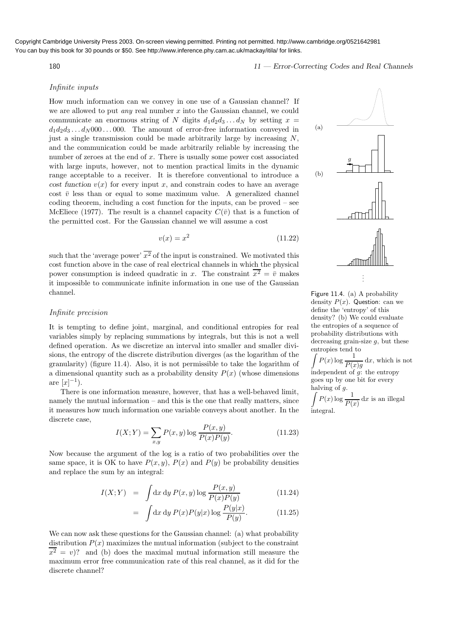180 11 — Error-Correcting Codes and Real Channels

#### Infinite inputs

How much information can we convey in one use of a Gaussian channel? If we are allowed to put *any* real number  $x$  into the Gaussian channel, we could communicate an enormous string of N digits  $d_1 d_2 d_3 \ldots d_N$  by setting  $x =$  $d_1 d_2 d_3 \ldots d_N 000 \ldots 000$ . The amount of error-free information conveyed in just a single transmission could be made arbitrarily large by increasing  $N$ , and the communication could be made arbitrarily reliable by increasing the number of zeroes at the end of  $x$ . There is usually some power cost associated with large inputs, however, not to mention practical limits in the dynamic range acceptable to a receiver. It is therefore conventional to introduce a cost function  $v(x)$  for every input x, and constrain codes to have an average cost  $\bar{v}$  less than or equal to some maximum value. A generalized channel coding theorem, including a cost function for the inputs, can be proved – see McEliece (1977). The result is a channel capacity  $C(\bar{v})$  that is a function of the permitted cost. For the Gaussian channel we will assume a cost

$$
v(x) = x^2 \tag{11.22}
$$

such that the 'average power'  $x^2$  of the input is constrained. We motivated this cost function above in the case of real electrical channels in which the physical power consumption is indeed quadratic in x. The constraint  $x^2 = \overline{v}$  makes it impossible to communicate infinite information in one use of the Gaussian channel.

### Infinite precision

It is tempting to define joint, marginal, and conditional entropies for real variables simply by replacing summations by integrals, but this is not a well defined operation. As we discretize an interval into smaller and smaller divisions, the entropy of the discrete distribution diverges (as the logarithm of the granularity) (figure 11.4). Also, it is not permissible to take the logarithm of a dimensional quantity such as a probability density  $P(x)$  (whose dimensions are  $[x]^{-1}$ ).

There is one information measure, however, that has a well-behaved limit, namely the mutual information – and this is the one that really matters, since it measures how much information one variable conveys about another. In the discrete case,

$$
I(X;Y) = \sum_{x,y} P(x,y) \log \frac{P(x,y)}{P(x)P(y)}.
$$
 (11.23)

Now because the argument of the log is a ratio of two probabilities over the same space, it is OK to have  $P(x, y)$ ,  $P(x)$  and  $P(y)$  be probability densities and replace the sum by an integral:

$$
I(X;Y) = \int dx dy P(x,y) \log \frac{P(x,y)}{P(x)P(y)} \qquad (11.24)
$$

$$
= \int dx dy P(x)P(y|x) \log \frac{P(y|x)}{P(y)}.
$$
 (11.25)

We can now ask these questions for the Gaussian channel: (a) what probability distribution  $P(x)$  maximizes the mutual information (subject to the constraint  $x^2 = v$ ? and (b) does the maximal mutual information still measure the maximum error free communication rate of this real channel, as it did for the discrete channel?



Figure 11.4. (a) A probability density  $P(x)$ . Question: can we define the 'entropy' of this density? (b) We could evaluate the entropies of a sequence of probability distributions with decreasing grain-size  $g$ , but these entropies tend to

Z  $P(x) \log \frac{1}{P(x)g}$  $-\,dx$ , which is not independent of  $q$ : the entropy goes up by one bit for every halving of  $g$ .

halving of g.<br> $\int P(x) \log \frac{1}{P(x)} dx$  is an illegal integral.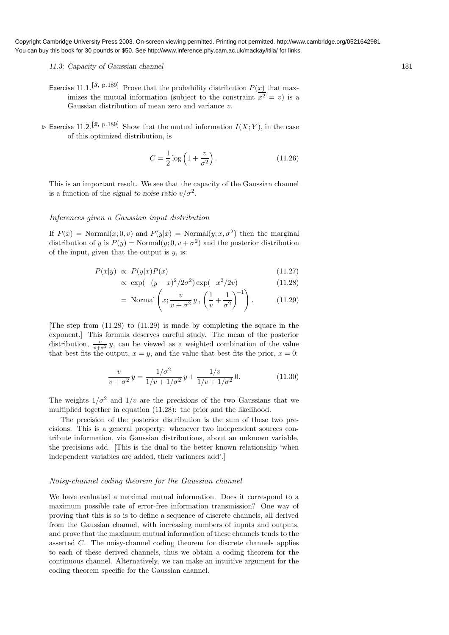- Exercise 11.1.<sup>[3, p.189]</sup> Prove that the probability distribution  $P(x)$  that maximizes the mutual information (subject to the constraint  $x^2 = v$ ) is a Gaussian distribution of mean zero and variance v.
- $\triangleright$  Exercise 11.2.<sup>[2, p.189]</sup> Show that the mutual information  $I(X;Y)$ , in the case of this optimized distribution, is

$$
C = \frac{1}{2}\log\left(1 + \frac{v}{\sigma^2}\right). \tag{11.26}
$$

This is an important result. We see that the capacity of the Gaussian channel is a function of the signal to noise ratio  $v/\sigma^2$ .

# Inferences given a Gaussian input distribution

If  $P(x) = \text{Normal}(x; 0, v)$  and  $P(y|x) = \text{Normal}(y; x, \sigma^2)$  then the marginal distribution of y is  $P(y) = \text{Normal}(y; 0, v + \sigma^2)$  and the posterior distribution of the input, given that the output is  $y$ , is:

$$
P(x|y) \propto P(y|x)P(x) \tag{11.27}
$$

$$
\propto \exp(-(y-x)^2/2\sigma^2)\exp(-x^2/2v)
$$
 (11.28)

$$
= \text{Normal}\left(x; \frac{v}{v+\sigma^2}y, \left(\frac{1}{v} + \frac{1}{\sigma^2}\right)^{-1}\right). \tag{11.29}
$$

[The step from (11.28) to (11.29) is made by completing the square in the exponent.] This formula deserves careful study. The mean of the posterior distribution,  $\frac{v}{v+\sigma^2}y$ , can be viewed as a weighted combination of the value that best fits the output,  $x = y$ , and the value that best fits the prior,  $x = 0$ :

$$
\frac{v}{v+\sigma^2}y = \frac{1/\sigma^2}{1/v+1/\sigma^2}y + \frac{1/v}{1/v+1/\sigma^2}0.
$$
 (11.30)

The weights  $1/\sigma^2$  and  $1/v$  are the precisions of the two Gaussians that we multiplied together in equation (11.28): the prior and the likelihood.

The precision of the posterior distribution is the sum of these two precisions. This is a general property: whenever two independent sources contribute information, via Gaussian distributions, about an unknown variable, the precisions add. [This is the dual to the better known relationship 'when independent variables are added, their variances add'.]

#### Noisy-channel coding theorem for the Gaussian channel

We have evaluated a maximal mutual information. Does it correspond to a maximum possible rate of error-free information transmission? One way of proving that this is so is to define a sequence of discrete channels, all derived from the Gaussian channel, with increasing numbers of inputs and outputs, and prove that the maximum mutual information of these channels tends to the asserted C. The noisy-channel coding theorem for discrete channels applies to each of these derived channels, thus we obtain a coding theorem for the continuous channel. Alternatively, we can make an intuitive argument for the coding theorem specific for the Gaussian channel.

<sup>11.3:</sup> Capacity of Gaussian channel 181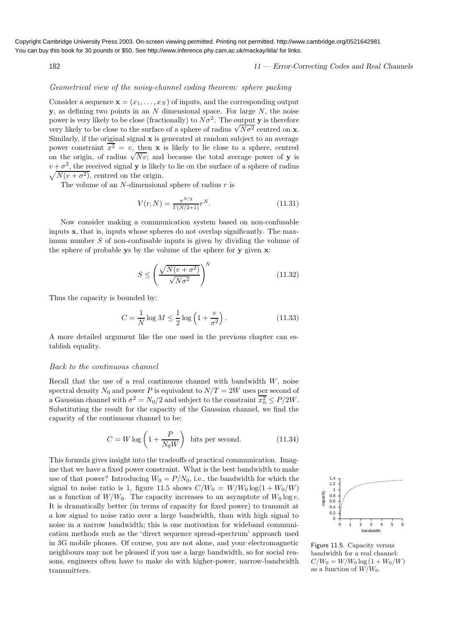#### 182 182 11 — Error-Correcting Codes and Real Channels

# Geometrical view of the noisy-channel coding theorem: sphere packing

Consider a sequence  $\mathbf{x} = (x_1, \dots, x_N)$  of inputs, and the corresponding output **, as defining two points in an N dimensional space. For large**  $N$ **, the noise** power is very likely to be close (fractionally) to  $N\sigma^2$ . The output **y** is therefore very likely to be close to the surface of a sphere of radius  $\sqrt{N\sigma^2}$  centred on **x**. Similarly, if the original signal **x** is generated at random subject to an average power constraint  $x^2 = v$ , then **x** is likely to lie close to a sphere, centred on the origin, of radius  $\sqrt{Nv}$ ; and because the total average power of **y** is  $v + \sigma^2$ , the received signal **y** is likely to lie on the surface of a sphere of radius  $\sqrt{N(v + \sigma^2)}$ , centred on the origin.  $N(v + \sigma^2)$ , centred on the origin.

The volume of an  $N$ -dimensional sphere of radius  $r$  is

$$
V(r,N) = \frac{\pi^{N/2}}{\Gamma(N/2+1)} r^N.
$$
\n(11.31)

Now consider making a communication system based on non-confusable inputs x, that is, inputs whose spheres do not overlap significantly. The maximum number S of non-confusable inputs is given by dividing the volume of the sphere of probable ys by the volume of the sphere for y given x:

$$
S \le \left(\frac{\sqrt{N(v+\sigma^2)}}{\sqrt{N\sigma^2}}\right)^N\tag{11.32}
$$

Thus the capacity is bounded by:

$$
C = \frac{1}{N} \log M \le \frac{1}{2} \log \left( 1 + \frac{v}{\sigma^2} \right). \tag{11.33}
$$

A more detailed argument like the one used in the previous chapter can establish equality.

#### Back to the continuous channel

Recall that the use of a real continuous channel with bandwidth  $W$ , noise spectral density  $N_0$  and power P is equivalent to  $N/T = 2W$  uses per second of a Gaussian channel with  $\sigma^2 = N_0/2$  and subject to the constraint  $\overline{x_n^2} \le P/2W$ . Substituting the result for the capacity of the Gaussian channel, we find the capacity of the continuous channel to be:

$$
C = W \log \left( 1 + \frac{P}{N_0 W} \right) \text{ bits per second.}
$$
 (11.34)

This formula gives insight into the tradeoffs of practical communication. Imagine that we have a fixed power constraint. What is the best bandwidth to make use of that power? Introducing  $W_0 = P/N_0$ , i.e., the bandwidth for which the signal to noise ratio is 1, figure 11.5 shows  $C/W_0 = W/W_0 \log(1 + W_0/W)$ as a function of  $W/W_0$ . The capacity increases to an asymptote of  $W_0 \log e$ . It is dramatically better (in terms of capacity for fixed power) to transmit at a low signal to noise ratio over a large bandwidth, than with high signal to noise in a narrow bandwidth; this is one motivation for wideband communication methods such as the 'direct sequence spread-spectrum' approach used in 3G mobile phones. Of course, you are not alone, and your electromagnetic neighbours may not be pleased if you use a large bandwidth, so for social reasons, engineers often have to make do with higher-power, narrow-bandwidth transmitters.



Figure 11.5. Capacity versus bandwidth for a real channel:  $C/W_0 = W/W_0 \log(1 + W_0/W)$ as a function of  $W/W_0$ .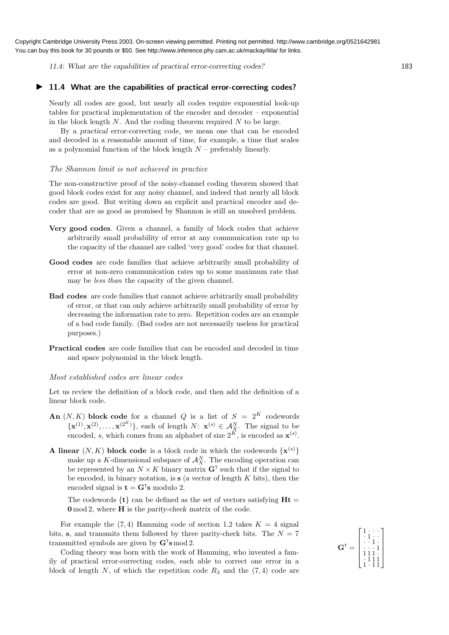11.4: What are the capabilities of practical error-correcting codes? 183

# ▶ 11.4 What are the capabilities of practical error-correcting codes?

Nearly all codes are good, but nearly all codes require exponential look-up tables for practical implementation of the encoder and decoder – exponential in the block length  $N$ . And the coding theorem required  $N$  to be large.

By a practical error-correcting code, we mean one that can be encoded and decoded in a reasonable amount of time, for example, a time that scales as a polynomial function of the block length  $N$  – preferably linearly.

# The Shannon limit is not achieved in practice

The non-constructive proof of the noisy-channel coding theorem showed that good block codes exist for any noisy channel, and indeed that nearly all block codes are good. But writing down an explicit and practical encoder and decoder that are as good as promised by Shannon is still an unsolved problem.

- Very good codes. Given a channel, a family of block codes that achieve arbitrarily small probability of error at any communication rate up to the capacity of the channel are called 'very good' codes for that channel.
- Good codes are code families that achieve arbitrarily small probability of error at non-zero communication rates up to some maximum rate that may be *less than* the capacity of the given channel.
- Bad codes are code families that cannot achieve arbitrarily small probability of error, or that can only achieve arbitrarily small probability of error by decreasing the information rate to zero. Repetition codes are an example of a bad code family. (Bad codes are not necessarily useless for practical purposes.)
- Practical codes are code families that can be encoded and decoded in time and space polynomial in the block length.

#### Most established codes are linear codes

Let us review the definition of a block code, and then add the definition of a linear block code.

- An  $(N, K)$  block code for a channel Q is a list of  $S = 2<sup>K</sup>$  codewords  ${\mathbf x}^{(1)}, {\mathbf x}^{(2)}, \ldots, {\mathbf x}^{(2^K)}$ , each of length  $N: {\mathbf x}^{(s)} \in {\mathcal A}_X^N$ . The signal to be encoded, s, which comes from an alphabet of size  $2^K$ , is encoded as  $\mathbf{x}^{(s)}$ .
- **A linear**  $(N, K)$  **block code** is a block code in which the codewords  $\{x^{(s)}\}$ make up a K-dimensional subspace of  $\mathcal{A}_X^N$ . The encoding operation can be represented by an  $N \times K$  binary matrix  $G<sup>T</sup>$  such that if the signal to be encoded, in binary notation, is  $s$  (a vector of length  $K$  bits), then the encoded signal is  $\mathbf{t} = \mathbf{G}^{\mathsf{T}}\mathbf{s}$  modulo 2.

The codewords  $\{t\}$  can be defined as the set of vectors satisfying  $Ht =$ 0 mod 2, where H is the parity-check matrix of the code.

For example the  $(7, 4)$  Hamming code of section 1.2 takes  $K = 4$  signal bits, s, and transmits them followed by three parity-check bits. The  $N = 7$ transmitted symbols are given by  $G<sup>T</sup>s \mod 2$ .

Coding theory was born with the work of Hamming, who invented a family of practical error-correcting codes, each able to correct one error in a block of length N, of which the repetition code  $R_3$  and the  $(7, 4)$  code are

$$
\mathbf{G}^{\mathsf{T}} = \begin{bmatrix} 1 & \cdots \\ \cdot & 1 & \cdots \\ \cdot & \cdots & 1 \\ \cdot & \cdots & 1 \\ 1 & 1 & 1 \\ 1 & \cdots & 1 \\ 1 & \cdots & 1 \end{bmatrix}
$$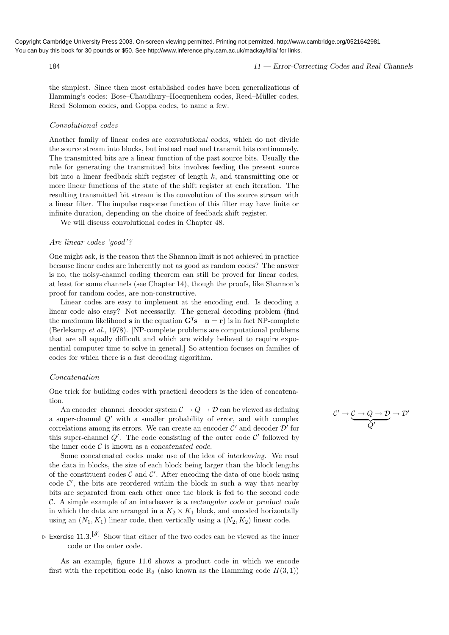184 11 — Error-Correcting Codes and Real Channels

the simplest. Since then most established codes have been generalizations of Hamming's codes: Bose–Chaudhury–Hocquenhem codes, Reed–Müller codes, Reed–Solomon codes, and Goppa codes, to name a few.

### Convolutional codes

Another family of linear codes are convolutional codes, which do not divide the source stream into blocks, but instead read and transmit bits continuously. The transmitted bits are a linear function of the past source bits. Usually the rule for generating the transmitted bits involves feeding the present source bit into a linear feedback shift register of length k, and transmitting one or more linear functions of the state of the shift register at each iteration. The resulting transmitted bit stream is the convolution of the source stream with a linear filter. The impulse response function of this filter may have finite or infinite duration, depending on the choice of feedback shift register.

We will discuss convolutional codes in Chapter 48.

## Are linear codes 'good'?

One might ask, is the reason that the Shannon limit is not achieved in practice because linear codes are inherently not as good as random codes? The answer is no, the noisy-channel coding theorem can still be proved for linear codes, at least for some channels (see Chapter 14), though the proofs, like Shannon's proof for random codes, are non-constructive.

Linear codes are easy to implement at the encoding end. Is decoding a linear code also easy? Not necessarily. The general decoding problem (find the maximum likelihood **s** in the equation  $G^{T} s + n = r$ ) is in fact NP-complete (Berlekamp et al., 1978). [NP-complete problems are computational problems that are all equally difficult and which are widely believed to require exponential computer time to solve in general.] So attention focuses on families of codes for which there is a fast decoding algorithm.

# Concatenation

One trick for building codes with practical decoders is the idea of concatenation.

An encoder–channel–decoder system  $C \to Q \to \mathcal{D}$  can be viewed as defining a super-channel  $Q'$  with a smaller probability of error, and with complex correlations among its errors. We can create an encoder  $\mathcal{C}'$  and decoder  $\mathcal{D}'$  for this super-channel  $Q'$ . The code consisting of the outer code  $\mathcal{C}'$  followed by the inner code  $\mathcal C$  is known as a concatenated code.

Some concatenated codes make use of the idea of interleaving. We read the data in blocks, the size of each block being larger than the block lengths of the constituent codes  $\mathcal C$  and  $\mathcal C'$ . After encoding the data of one block using code  $\mathcal{C}'$ , the bits are reordered within the block in such a way that nearby bits are separated from each other once the block is fed to the second code C. A simple example of an interleaver is a rectangular code or product code in which the data are arranged in a  $K_2 \times K_1$  block, and encoded horizontally using an  $(N_1, K_1)$  linear code, then vertically using a  $(N_2, K_2)$  linear code.

 $\triangleright$  Exercise 11.3.<sup>[3]</sup> Show that either of the two codes can be viewed as the inner code or the outer code.

As an example, figure 11.6 shows a product code in which we encode first with the repetition code  $R_3$  (also known as the Hamming code  $H(3, 1)$ )

$$
\mathcal{C}' \rightarrow \underbrace{\mathcal{C} \rightarrow Q \rightarrow \mathcal{D}}_{Q'} \rightarrow \mathcal{D}'
$$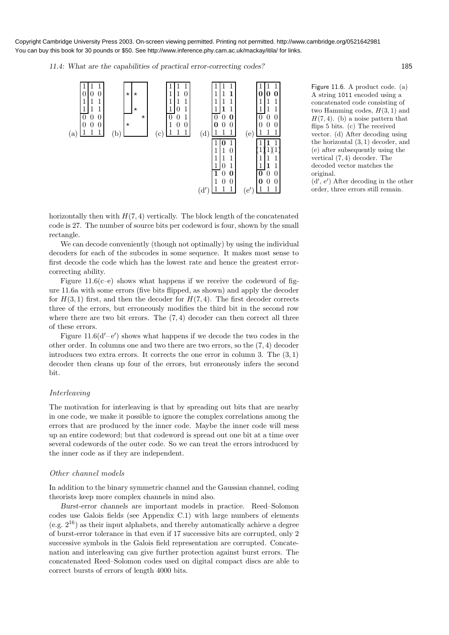11.4: What are the capabilities of practical error-correcting codes? 185



Figure 11.6. A product code. (a) A string 1011 encoded using a concatenated code consisting of two Hamming codes,  $H(3, 1)$  and  $H(7, 4)$ . (b) a noise pattern that flips 5 bits. (c) The received vector. (d) After decoding using the horizontal (3, 1) decoder, and (e) after subsequently using the vertical (7, 4) decoder. The decoded vector matches the original.

 $(d', e')$  After decoding in the other order, three errors still remain.

horizontally then with  $H(7, 4)$  vertically. The block length of the concatenated code is 27. The number of source bits per codeword is four, shown by the small rectangle.

We can decode conveniently (though not optimally) by using the individual decoders for each of the subcodes in some sequence. It makes most sense to first decode the code which has the lowest rate and hence the greatest errorcorrecting ability.

Figure 11.6( $c-e$ ) shows what happens if we receive the codeword of figure 11.6a with some errors (five bits flipped, as shown) and apply the decoder for  $H(3, 1)$  first, and then the decoder for  $H(7, 4)$ . The first decoder corrects three of the errors, but erroneously modifies the third bit in the second row where there are two bit errors. The  $(7, 4)$  decoder can then correct all three of these errors.

Figure  $11.6(d'-e')$  shows what happens if we decode the two codes in the other order. In columns one and two there are two errors, so the (7, 4) decoder introduces two extra errors. It corrects the one error in column 3. The  $(3,1)$ decoder then cleans up four of the errors, but erroneously infers the second bit.

### Interleaving

The motivation for interleaving is that by spreading out bits that are nearby in one code, we make it possible to ignore the complex correlations among the errors that are produced by the inner code. Maybe the inner code will mess up an entire codeword; but that codeword is spread out one bit at a time over several codewords of the outer code. So we can treat the errors introduced by the inner code as if they are independent.

#### Other channel models

In addition to the binary symmetric channel and the Gaussian channel, coding theorists keep more complex channels in mind also.

Burst-error channels are important models in practice. Reed–Solomon codes use Galois fields (see Appendix C.1) with large numbers of elements  $(e.g. 2<sup>16</sup>)$  as their input alphabets, and thereby automatically achieve a degree of burst-error tolerance in that even if 17 successive bits are corrupted, only 2 successive symbols in the Galois field representation are corrupted. Concatenation and interleaving can give further protection against burst errors. The concatenated Reed–Solomon codes used on digital compact discs are able to correct bursts of errors of length 4000 bits.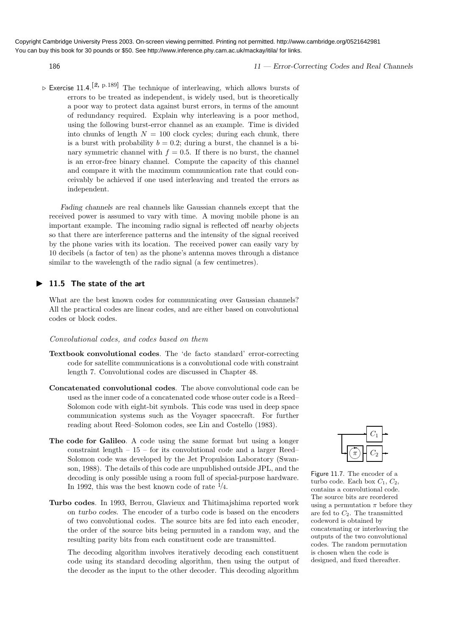186 11 — Error-Correcting Codes and Real Channels

 $\triangleright$  Exercise 11.4.<sup>[2, p.189]</sup> The technique of interleaving, which allows bursts of errors to be treated as independent, is widely used, but is theoretically a poor way to protect data against burst errors, in terms of the amount of redundancy required. Explain why interleaving is a poor method, using the following burst-error channel as an example. Time is divided into chunks of length  $N = 100$  clock cycles; during each chunk, there is a burst with probability  $b = 0.2$ ; during a burst, the channel is a binary symmetric channel with  $f = 0.5$ . If there is no burst, the channel is an error-free binary channel. Compute the capacity of this channel and compare it with the maximum communication rate that could conceivably be achieved if one used interleaving and treated the errors as independent.

Fading channels are real channels like Gaussian channels except that the received power is assumed to vary with time. A moving mobile phone is an important example. The incoming radio signal is reflected off nearby objects so that there are interference patterns and the intensity of the signal received by the phone varies with its location. The received power can easily vary by 10 decibels (a factor of ten) as the phone's antenna moves through a distance similar to the wavelength of the radio signal (a few centimetres).

▶ 11.5 The state of the art

What are the best known codes for communicating over Gaussian channels? All the practical codes are linear codes, and are either based on convolutional codes or block codes.

#### Convolutional codes, and codes based on them

- Textbook convolutional codes. The 'de facto standard' error-correcting code for satellite communications is a convolutional code with constraint length 7. Convolutional codes are discussed in Chapter 48.
- Concatenated convolutional codes. The above convolutional code can be used as the inner code of a concatenated code whose outer code is a Reed– Solomon code with eight-bit symbols. This code was used in deep space communication systems such as the Voyager spacecraft. For further reading about Reed–Solomon codes, see Lin and Costello (1983).
- The code for Galileo. A code using the same format but using a longer constraint length – 15 – for its convolutional code and a larger Reed– Solomon code was developed by the Jet Propulsion Laboratory (Swanson, 1988). The details of this code are unpublished outside JPL, and the decoding is only possible using a room full of special-purpose hardware. In 1992, this was the best known code of rate  $\frac{1}{4}$ .
- Turbo codes. In 1993, Berrou, Glavieux and Thitimajshima reported work on turbo codes. The encoder of a turbo code is based on the encoders of two convolutional codes. The source bits are fed into each encoder, the order of the source bits being permuted in a random way, and the resulting parity bits from each constituent code are transmitted.

The decoding algorithm involves iteratively decoding each constituent code using its standard decoding algorithm, then using the output of the decoder as the input to the other decoder. This decoding algorithm



Figure 11.7. The encoder of a turbo code. Each box  $C_1, C_2$ , contains a convolutional code. The source bits are reordered using a permutation  $\pi$  before they are fed to  $C_2$ . The transmitted codeword is obtained by concatenating or interleaving the outputs of the two convolutional codes. The random permutation is chosen when the code is designed, and fixed thereafter.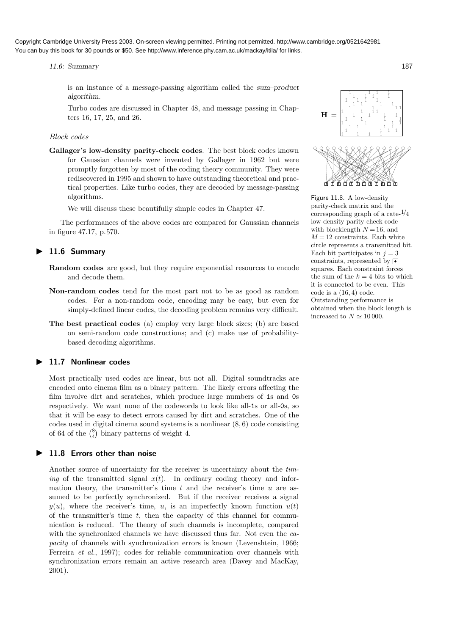## 11.6: Summary 187

is an instance of a message-passing algorithm called the sum–product algorithm.

Turbo codes are discussed in Chapter 48, and message passing in Chapters 16, 17, 25, and 26.

# Block codes

Gallager's low-density parity-check codes. The best block codes known for Gaussian channels were invented by Gallager in 1962 but were promptly forgotten by most of the coding theory community. They were rediscovered in 1995 and shown to have outstanding theoretical and practical properties. Like turbo codes, they are decoded by message-passing algorithms.

We will discuss these beautifully simple codes in Chapter 47.

The performances of the above codes are compared for Gaussian channels in figure 47.17, p.570.

# $\blacktriangleright$  11.6 Summary

- Random codes are good, but they require exponential resources to encode and decode them.
- Non-random codes tend for the most part not to be as good as random codes. For a non-random code, encoding may be easy, but even for simply-defined linear codes, the decoding problem remains very difficult.
- The best practical codes (a) employ very large block sizes; (b) are based on semi-random code constructions; and (c) make use of probabilitybased decoding algorithms.

# ▶ 11.7 Nonlinear codes

Most practically used codes are linear, but not all. Digital soundtracks are encoded onto cinema film as a binary pattern. The likely errors affecting the film involve dirt and scratches, which produce large numbers of 1s and 0s respectively. We want none of the codewords to look like all-1s or all-0s, so that it will be easy to detect errors caused by dirt and scratches. One of the  $\alpha$  codes used in digital cinema sound systems is a nonlinear  $(8, 6)$  code consisting of 64 of the  $\binom{8}{4}$  binary patterns of weight 4.

▶ 11.8 Errors other than noise

Another source of uncertainty for the receiver is uncertainty about the timing of the transmitted signal  $x(t)$ . In ordinary coding theory and information theory, the transmitter's time  $t$  and the receiver's time  $u$  are assumed to be perfectly synchronized. But if the receiver receives a signal  $y(u)$ , where the receiver's time, u, is an imperfectly known function  $u(t)$ of the transmitter's time  $t$ , then the capacity of this channel for communication is reduced. The theory of such channels is incomplete, compared with the synchronized channels we have discussed thus far. Not even the *ca*pacity of channels with synchronization errors is known (Levenshtein, 1966; Ferreira *et al.*, 1997); codes for reliable communication over channels with synchronization errors remain an active research area (Davey and MacKay, 2001).



Figure 11.8. A low-density parity-check matrix and the corresponding graph of a rate- $\frac{1}{4}$ low-density parity-check code with blocklength  $N = 16$ , and  $M = 12$  constraints. Each white circle represents a transmitted bit. Each bit participates in  $j = 3$ constraints, represented by  $\Box$ squares. Each constraint forces the sum of the  $k = 4$  bits to which it is connected to be even. This code is a (16, 4) code. Outstanding performance is obtained when the block length is increased to  $N \simeq 10000$ .